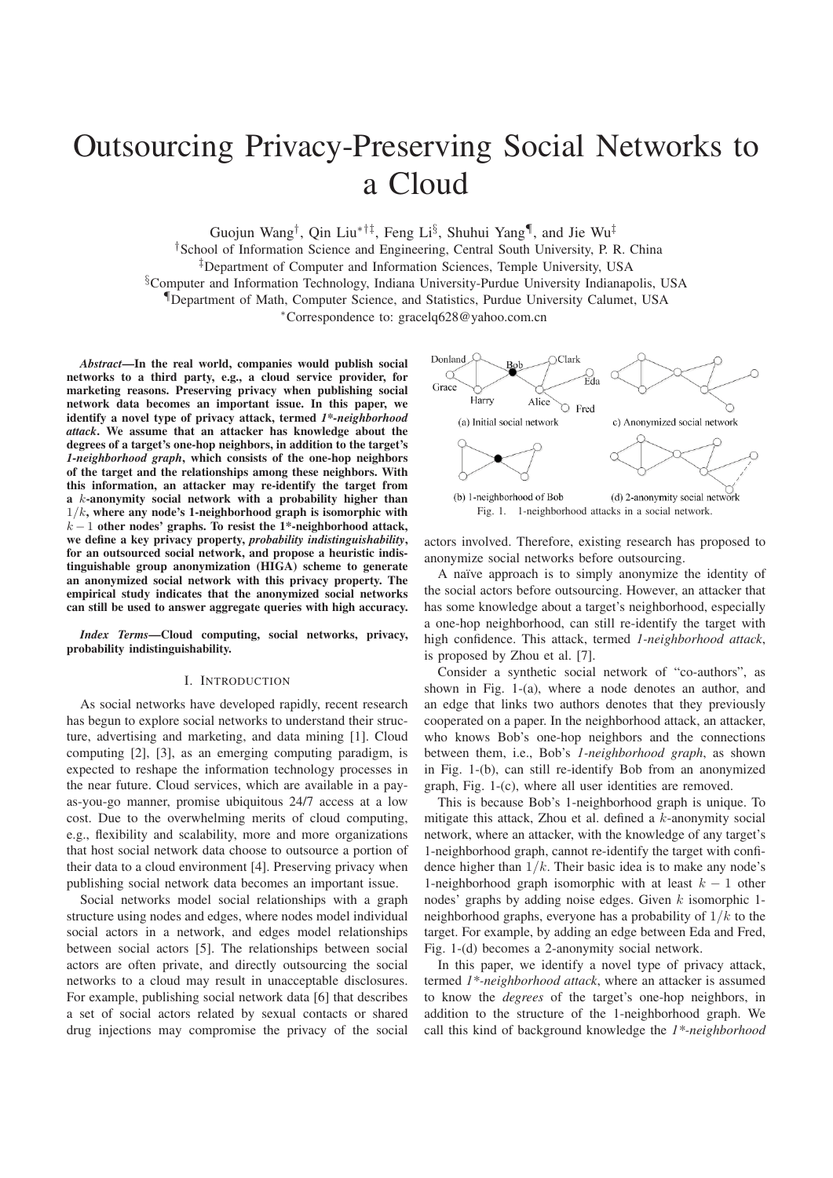# Outsourcing Privacy-Preserving Social Networks to a Cloud

Guojun Wang<sup>†</sup>, Qin Liu<sup>\*†‡</sup>, Feng Li<sup>§</sup>, Shuhui Yang<sup>¶</sup>, and Jie Wu<sup>‡</sup>

†School of Information Science and Engineering, Central South University, P. R. China

‡Department of Computer and Information Sciences, Temple University, USA

§Computer and Information Technology, Indiana University-Purdue University Indianapolis, USA

¶Department of Math, Computer Science, and Statistics, Purdue University Calumet, USA

<sup>∗</sup>Correspondence to: gracelq628@yahoo.com.cn

*Abstract*—In the real world, companies would publish social networks to a third party, e.g., a cloud service provider, for marketing reasons. Preserving privacy when publishing social network data becomes an important issue. In this paper, we identify a novel type of privacy attack, termed *1\*-neighborhood attack*. We assume that an attacker has knowledge about the degrees of a target's one-hop neighbors, in addition to the target's *1-neighborhood graph*, which consists of the one-hop neighbors of the target and the relationships among these neighbors. With this information, an attacker may re-identify the target from a k-anonymity social network with a probability higher than  $1/k$ , where any node's 1-neighborhood graph is isomorphic with  $k-1$  other nodes' graphs. To resist the 1\*-neighborhood attack, we define a key privacy property, *probability indistinguishability*, for an outsourced social network, and propose a heuristic indistinguishable group anonymization (HIGA) scheme to generate an anonymized social network with this privacy property. The empirical study indicates that the anonymized social networks can still be used to answer aggregate queries with high accuracy.

*Index Terms*—Cloud computing, social networks, privacy, probability indistinguishability.

## I. INTRODUCTION

As social networks have developed rapidly, recent research has begun to explore social networks to understand their structure, advertising and marketing, and data mining [1]. Cloud computing [2], [3], as an emerging computing paradigm, is expected to reshape the information technology processes in the near future. Cloud services, which are available in a payas-you-go manner, promise ubiquitous 24/7 access at a low cost. Due to the overwhelming merits of cloud computing, e.g., flexibility and scalability, more and more organizations that host social network data choose to outsource a portion of their data to a cloud environment [4]. Preserving privacy when publishing social network data becomes an important issue.

Social networks model social relationships with a graph structure using nodes and edges, where nodes model individual social actors in a network, and edges model relationships between social actors [5]. The relationships between social actors are often private, and directly outsourcing the social networks to a cloud may result in unacceptable disclosures. For example, publishing social network data [6] that describes a set of social actors related by sexual contacts or shared drug injections may compromise the privacy of the social



actors involved. Therefore, existing research has proposed to anonymize social networks before outsourcing.

A naïve approach is to simply anonymize the identity of the social actors before outsourcing. However, an attacker that has some knowledge about a target's neighborhood, especially a one-hop neighborhood, can still re-identify the target with high confidence. This attack, termed *1-neighborhood attack*, is proposed by Zhou et al. [7].

Consider a synthetic social network of "co-authors", as shown in Fig. 1-(a), where a node denotes an author, and an edge that links two authors denotes that they previously cooperated on a paper. In the neighborhood attack, an attacker, who knows Bob's one-hop neighbors and the connections between them, i.e., Bob's *1-neighborhood graph*, as shown in Fig. 1-(b), can still re-identify Bob from an anonymized graph, Fig. 1-(c), where all user identities are removed.

This is because Bob's 1-neighborhood graph is unique. To mitigate this attack, Zhou et al. defined a k-anonymity social network, where an attacker, with the knowledge of any target's 1-neighborhood graph, cannot re-identify the target with confidence higher than  $1/k$ . Their basic idea is to make any node's 1-neighborhood graph isomorphic with at least  $k - 1$  other nodes' graphs by adding noise edges. Given  $k$  isomorphic 1neighborhood graphs, everyone has a probability of  $1/k$  to the target. For example, by adding an edge between Eda and Fred, Fig. 1-(d) becomes a 2-anonymity social network.

In this paper, we identify a novel type of privacy attack, termed *1\*-neighborhood attack*, where an attacker is assumed to know the *degrees* of the target's one-hop neighbors, in addition to the structure of the 1-neighborhood graph. We call this kind of background knowledge the *1\*-neighborhood*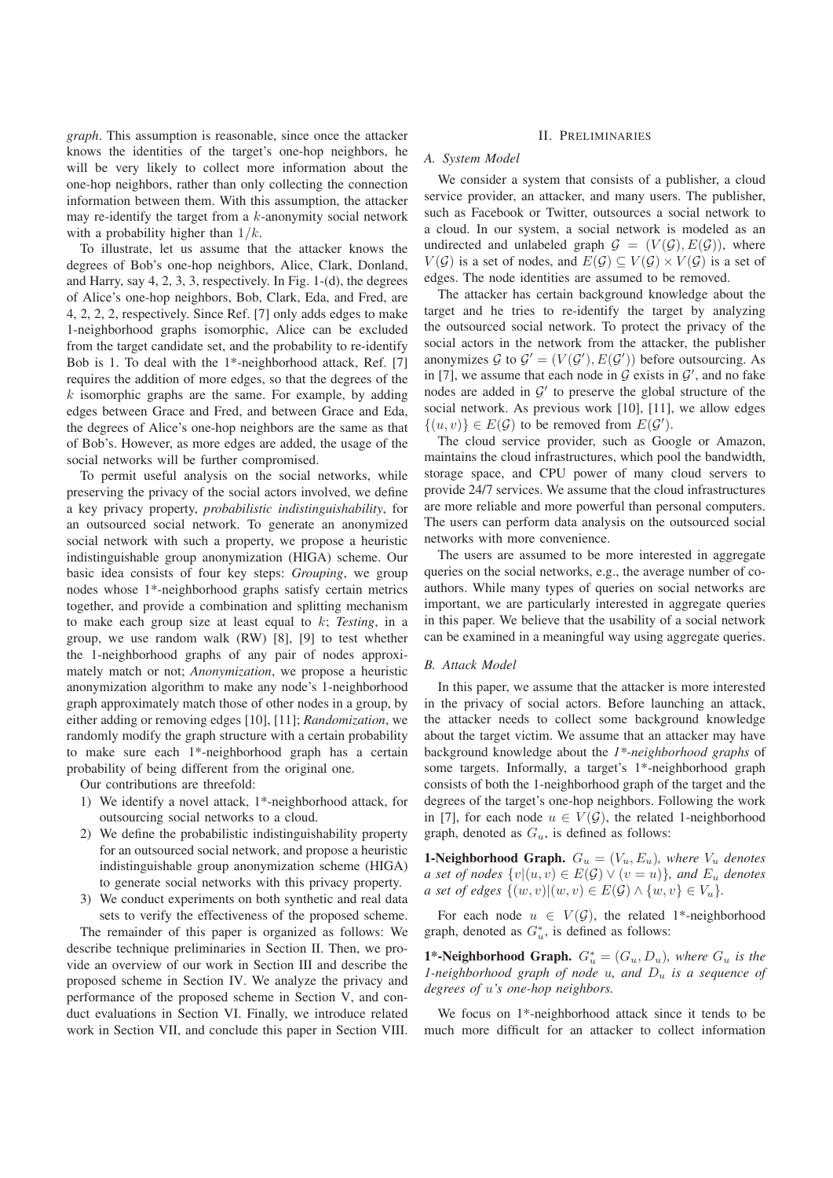*graph*. This assumption is reasonable, since once the attacker knows the identities of the target's one-hop neighbors, he will be very likely to collect more information about the one-hop neighbors, rather than only collecting the connection information between them. With this assumption, the attacker may re-identify the target from a k-anonymity social network with a probability higher than  $1/k$ .

To illustrate, let us assume that the attacker knows the degrees of Bob's one-hop neighbors, Alice, Clark, Donland, and Harry, say 4, 2, 3, 3, respectively. In Fig. 1-(d), the degrees of Alice's one-hop neighbors, Bob, Clark, Eda, and Fred, are 4, 2, 2, 2, respectively. Since Ref. [7] only adds edges to make 1-neighborhood graphs isomorphic, Alice can be excluded from the target candidate set, and the probability to re-identify Bob is 1. To deal with the 1\*-neighborhood attack, Ref. [7] requires the addition of more edges, so that the degrees of the  $k$  isomorphic graphs are the same. For example, by adding edges between Grace and Fred, and between Grace and Eda, the degrees of Alice's one-hop neighbors are the same as that of Bob's. However, as more edges are added, the usage of the social networks will be further compromised.

To permit useful analysis on the social networks, while preserving the privacy of the social actors involved, we define a key privacy property, *probabilistic indistinguishability*, for an outsourced social network. To generate an anonymized social network with such a property, we propose a heuristic indistinguishable group anonymization (HIGA) scheme. Our basic idea consists of four key steps: *Grouping*, we group nodes whose 1\*-neighborhood graphs satisfy certain metrics together, and provide a combination and splitting mechanism to make each group size at least equal to k; *Testing*, in a group, we use random walk (RW) [8], [9] to test whether the 1-neighborhood graphs of any pair of nodes approximately match or not; *Anonymization*, we propose a heuristic anonymization algorithm to make any node's 1-neighborhood graph approximately match those of other nodes in a group, by either adding or removing edges [10], [11]; *Randomization*, we randomly modify the graph structure with a certain probability to make sure each 1\*-neighborhood graph has a certain probability of being different from the original one.

Our contributions are threefold:

- 1) We identify a novel attack, 1\*-neighborhood attack, for outsourcing social networks to a cloud.
- 2) We define the probabilistic indistinguishability property for an outsourced social network, and propose a heuristic indistinguishable group anonymization scheme (HIGA) to generate social networks with this privacy property.
- 3) We conduct experiments on both synthetic and real data sets to verify the effectiveness of the proposed scheme.

The remainder of this paper is organized as follows: We describe technique preliminaries in Section II. Then, we provide an overview of our work in Section III and describe the proposed scheme in Section IV. We analyze the privacy and performance of the proposed scheme in Section V, and conduct evaluations in Section VI. Finally, we introduce related work in Section VII, and conclude this paper in Section VIII.

# II. PRELIMINARIES

# *A. System Model*

We consider a system that consists of a publisher, a cloud service provider, an attacker, and many users. The publisher, such as Facebook or Twitter, outsources a social network to a cloud. In our system, a social network is modeled as an undirected and unlabeled graph  $G = (V(G), E(G))$ , where  $V(G)$  is a set of nodes, and  $E(G) \subseteq V(G) \times V(G)$  is a set of edges. The node identities are assumed to be removed.

The attacker has certain background knowledge about the target and he tries to re-identify the target by analyzing the outsourced social network. To protect the privacy of the social actors in the network from the attacker, the publisher anonymizes  $G$  to  $G' = (V(G'), E(G'))$  before outsourcing. As in [7], we assume that each node in  $G$  exists in  $G'$ , and no fake nodes are added in  $G'$  to preserve the global structure of the social network. As previous work [10], [11], we allow edges  $\{(u, v)\}\in E(\mathcal{G})$  to be removed from  $E(\mathcal{G}')$ .

The cloud service provider, such as Google or Amazon, maintains the cloud infrastructures, which pool the bandwidth, storage space, and CPU power of many cloud servers to provide 24/7 services. We assume that the cloud infrastructures are more reliable and more powerful than personal computers. The users can perform data analysis on the outsourced social networks with more convenience.

The users are assumed to be more interested in aggregate queries on the social networks, e.g., the average number of coauthors. While many types of queries on social networks are important, we are particularly interested in aggregate queries in this paper. We believe that the usability of a social network can be examined in a meaningful way using aggregate queries.

## *B. Attack Model*

In this paper, we assume that the attacker is more interested in the privacy of social actors. Before launching an attack, the attacker needs to collect some background knowledge about the target victim. We assume that an attacker may have background knowledge about the *1\*-neighborhood graphs* of some targets. Informally, a target's 1\*-neighborhood graph consists of both the 1-neighborhood graph of the target and the degrees of the target's one-hop neighbors. Following the work in [7], for each node  $u \in V(\mathcal{G})$ , the related 1-neighborhood graph, denoted as  $G_u$ , is defined as follows:

**1-Neighborhood Graph.**  $G_u = (V_u, E_u)$ , where  $V_u$  denotes *a set of nodes*  $\{v | (u, v) \in E(\mathcal{G}) \lor (v = u)\}$ *, and*  $E_u$  *denotes a set of edges*  $\{(w, v) | (w, v) \in E(\mathcal{G}) \land \{w, v\} \in V_u\}.$ 

For each node  $u \in V(\mathcal{G})$ , the related 1\*-neighborhood graph, denoted as  $G^*_u$ , is defined as follows:

**1\*-Neighborhood Graph.**  $G_u^* = (G_u, D_u)$ , where  $G_u$  is the<br>*l* neighborhood graph of node u, and D, is a sequence of *1-neighborhood graph of node u, and*  $D_u$  *is a sequence of degrees of* u*'s one-hop neighbors.*

We focus on 1\*-neighborhood attack since it tends to be much more difficult for an attacker to collect information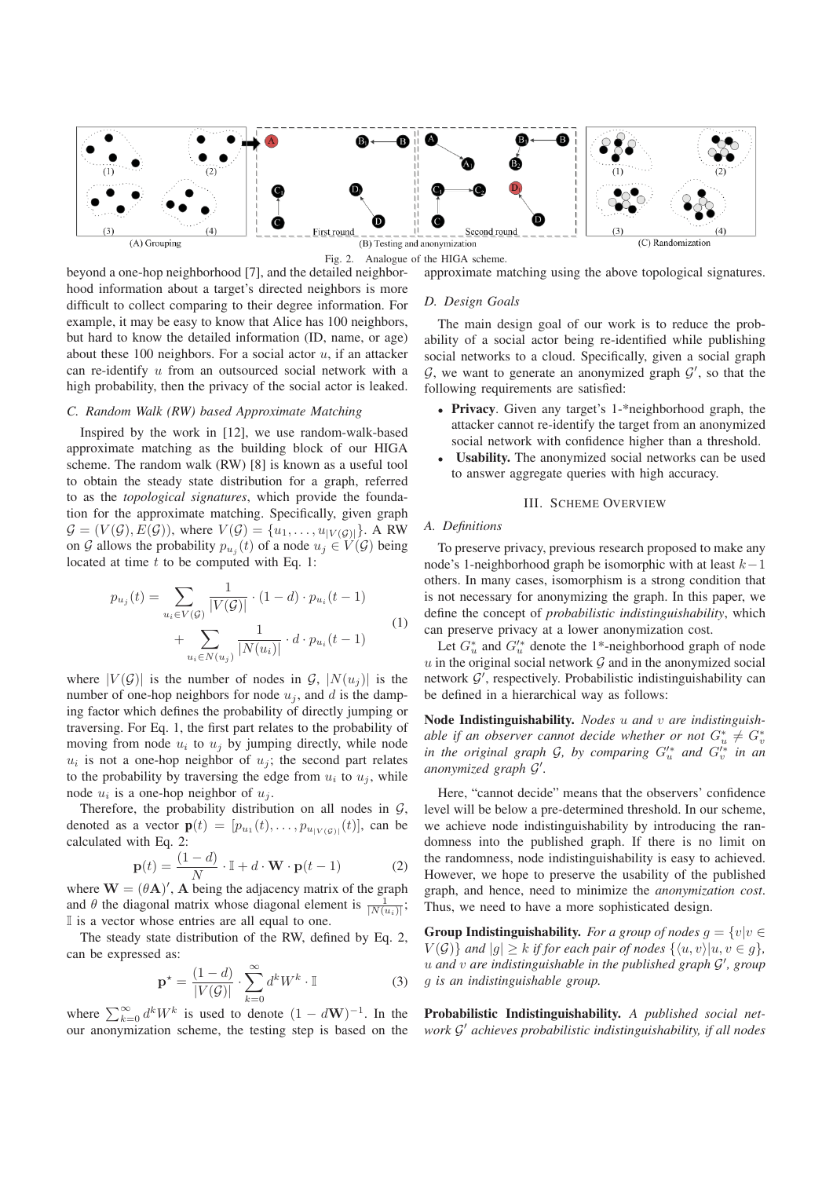

Fig. 2. Analogue of the HIGA scheme.

beyond a one-hop neighborhood [7], and the detailed neighborhood information about a target's directed neighbors is more difficult to collect comparing to their degree information. For example, it may be easy to know that Alice has 100 neighbors, but hard to know the detailed information (ID, name, or age) about these 100 neighbors. For a social actor  $u$ , if an attacker can re-identify u from an outsourced social network with a high probability, then the privacy of the social actor is leaked.

# *C. Random Walk (RW) based Approximate Matching*

Inspired by the work in [12], we use random-walk-based approximate matching as the building block of our HIGA scheme. The random walk (RW) [8] is known as a useful tool to obtain the steady state distribution for a graph, referred to as the *topological signatures*, which provide the foundation for the approximate matching. Specifically, given graph  $\mathcal{G} = (V(\mathcal{G}), E(\mathcal{G}))$ , where  $V(\mathcal{G}) = \{u_1, \ldots, u_{|V(\mathcal{G})|}\}\)$ . A RW on G allows the probability  $p_{u_i}(t)$  of a node  $u_j \in V(G)$  being located at time  $t$  to be computed with Eq. 1:

$$
p_{u_j}(t) = \sum_{u_i \in V(\mathcal{G})} \frac{1}{|V(\mathcal{G})|} \cdot (1 - d) \cdot p_{u_i}(t - 1) + \sum_{u_i \in N(u_j)} \frac{1}{|N(u_i)|} \cdot d \cdot p_{u_i}(t - 1)
$$
 (1)

where  $|V(G)|$  is the number of nodes in G,  $|N(u_i)|$  is the number of one-hop neighbors for node  $u_i$ , and d is the damping factor which defines the probability of directly jumping or traversing. For Eq. 1, the first part relates to the probability of moving from node  $u_i$  to  $u_j$  by jumping directly, while node  $u_i$  is not a one-hop neighbor of  $u_i$ ; the second part relates to the probability by traversing the edge from  $u_i$  to  $u_j$ , while node  $u_i$  is a one-hop neighbor of  $u_j$ .

Therefore, the probability distribution on all nodes in  $G$ , denoted as a vector  $\mathbf{p}(t)=[p_{u_1} (t),\ldots,p_{u|_{V(\mathcal{G})}|} (t)],$  can be calculated with Eq. 2:

$$
\mathbf{p}(t) = \frac{(1-d)}{N} \cdot \mathbb{I} + d \cdot \mathbf{W} \cdot \mathbf{p}(t-1)
$$
 (2)

where  $W = (\theta A)'$ , A being the adjacency matrix of the graph and  $\theta$  the diagonal matrix whose diagonal element is  $\frac{1}{|N(u_i)|}$ ;<br>
I is a vector whose entries are all equal to one I is a vector whose entries are all equal to one.

The steady state distribution of the RW, defined by Eq. 2, can be expressed as:

$$
\mathbf{p}^* = \frac{(1-d)}{|V(\mathcal{G})|} \cdot \sum_{k=0}^{\infty} d^k W^k \cdot \mathbb{I}
$$
 (3)

where  $\sum_{k=0}^{\infty} d^k W^k$  is used to denote  $(1 - dW)^{-1}$ . In the our anonymization scheme, the testing step is based on the approximate matching using the above topological signatures.

## *D. Design Goals*

The main design goal of our work is to reduce the probability of a social actor being re-identified while publishing social networks to a cloud. Specifically, given a social graph  $G$ , we want to generate an anonymized graph  $G'$ , so that the following requirements are satisfied:

- Privacy. Given any target's 1-\*neighborhood graph, the attacker cannot re-identify the target from an anonymized social network with confidence higher than a threshold.
- Usability. The anonymized social networks can be used to answer aggregate queries with high accuracy.

## III. SCHEME OVERVIEW

# *A. Definitions*

To preserve privacy, previous research proposed to make any node's 1-neighborhood graph be isomorphic with at least  $k-1$ others. In many cases, isomorphism is a strong condition that is not necessary for anonymizing the graph. In this paper, we define the concept of *probabilistic indistinguishability*, which can preserve privacy at a lower anonymization cost.

Let  $G^*_{u}$  and  $G'^*_{u}$  denote the 1<sup>\*</sup>-neighborhood graph of node<br>in the original social network  $G$  and in the anonymized social  $u$  in the original social network  $\mathcal G$  and in the anonymized social network  $\mathcal{G}'$ , respectively. Probabilistic indistinguishability can be defined in a hierarchical way as follows:

Node Indistinguishability. *Nodes* u *and* v *are indistinguishable if an observer cannot decide whether or not*  $G_u^* \neq G_v^*$ <br>in the original graph  $G$ , by comparing  $G'^*$  and  $G'^*$  in an *in the original graph*  $G$ *, by comparing*  $G'_u$  *and*  $G'_v$  *in an anonymized graph*  $G'$ *anonymized graph* G *.*

Here, "cannot decide" means that the observers' confidence level will be below a pre-determined threshold. In our scheme, we achieve node indistinguishability by introducing the randomness into the published graph. If there is no limit on the randomness, node indistinguishability is easy to achieved. However, we hope to preserve the usability of the published graph, and hence, need to minimize the *anonymization cost*. Thus, we need to have a more sophisticated design.

**Group Indistinguishability.** *For a group of nodes*  $g = \{v | v \in$  $V(\mathcal{G})$  *and*  $|g| \geq k$  *if for each pair of nodes*  $\{ \langle u, v \rangle | u, v \in g \}$ *,* u *and* v *are indistinguishable in the published graph* G *, group* g *is an indistinguishable group.*

Probabilistic Indistinguishability. *A published social network*  $\mathcal{G}'$  *achieves probabilistic indistinguishability, if all nodes*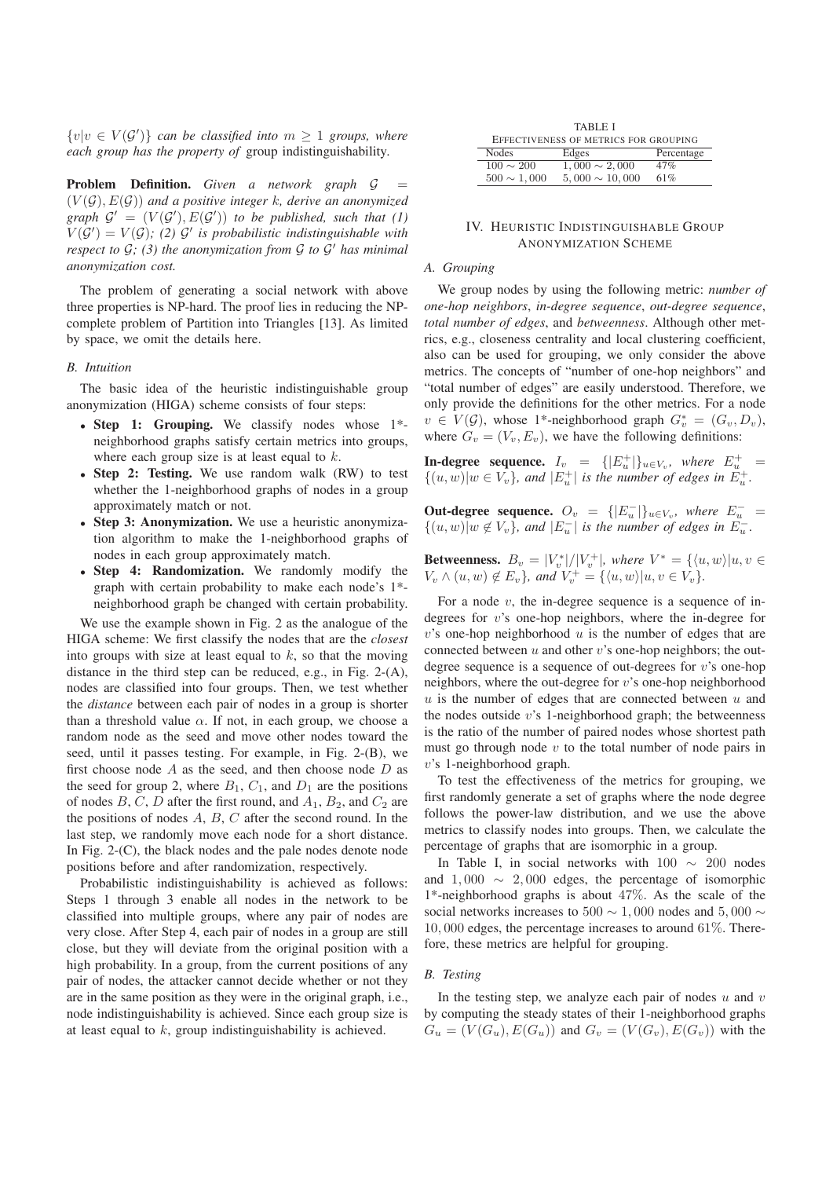$\{v|v \in V(G')\}$  *can be classified into*  $m \geq 1$  *groups, where each group has the property of* group indistinguishability*.*

Problem Definition. *Given a network graph* G (V (G), E(G)) *and a positive integer* k*, derive an anonymized graph*  $G' = (V(G'), E(G'))$  *to be published, such that* (1)  $V(G') = V(G)$ ; (2)  $G'$  is probabilistic indistinguishable with *respect to*  $G$ *;* (3) the anonymization from  $G$  to  $G'$  has minimal *anonymization cost.*

The problem of generating a social network with above three properties is NP-hard. The proof lies in reducing the NPcomplete problem of Partition into Triangles [13]. As limited by space, we omit the details here.

#### *B. Intuition*

The basic idea of the heuristic indistinguishable group anonymization (HIGA) scheme consists of four steps:

- Step 1: Grouping. We classify nodes whose 1\* neighborhood graphs satisfy certain metrics into groups, where each group size is at least equal to  $k$ .
- Step 2: Testing. We use random walk (RW) to test whether the 1-neighborhood graphs of nodes in a group approximately match or not.
- Step 3: Anonymization. We use a heuristic anonymization algorithm to make the 1-neighborhood graphs of nodes in each group approximately match.
- Step 4: Randomization. We randomly modify the graph with certain probability to make each node's 1\* neighborhood graph be changed with certain probability.

We use the example shown in Fig. 2 as the analogue of the HIGA scheme: We first classify the nodes that are the *closest* into groups with size at least equal to  $k$ , so that the moving distance in the third step can be reduced, e.g., in Fig. 2-(A), nodes are classified into four groups. Then, we test whether the *distance* between each pair of nodes in a group is shorter than a threshold value  $\alpha$ . If not, in each group, we choose a random node as the seed and move other nodes toward the seed, until it passes testing. For example, in Fig. 2-(B), we first choose node  $A$  as the seed, and then choose node  $D$  as the seed for group 2, where  $B_1$ ,  $C_1$ , and  $D_1$  are the positions of nodes  $B, C, D$  after the first round, and  $A_1, B_2$ , and  $C_2$  are the positions of nodes  $A, B, C$  after the second round. In the last step, we randomly move each node for a short distance. In Fig. 2-(C), the black nodes and the pale nodes denote node positions before and after randomization, respectively.

Probabilistic indistinguishability is achieved as follows: Steps 1 through 3 enable all nodes in the network to be classified into multiple groups, where any pair of nodes are very close. After Step 4, each pair of nodes in a group are still close, but they will deviate from the original position with a high probability. In a group, from the current positions of any pair of nodes, the attacker cannot decide whether or not they are in the same position as they were in the original graph, i.e., node indistinguishability is achieved. Since each group size is at least equal to  $k$ , group indistinguishability is achieved.

|                  | <b>TABLE I</b>                        |            |
|------------------|---------------------------------------|------------|
|                  | EFFECTIVENESS OF METRICS FOR GROUPING |            |
| <b>Nodes</b>     | Edges                                 | Percentage |
| $100 \sim 200$   | $1,000 \sim 2,000$                    | 47%        |
| $500 \sim 1,000$ | $5,000 \sim 10,000$                   | 61%        |

# IV. HEURISTIC INDISTINGUISHABLE GROUP ANONYMIZATION SCHEME

# *A. Grouping*

We group nodes by using the following metric: *number of one-hop neighbors*, *in-degree sequence*, *out-degree sequence*, *total number of edges*, and *betweenness*. Although other metrics, e.g., closeness centrality and local clustering coefficient, also can be used for grouping, we only consider the above metrics. The concepts of "number of one-hop neighbors" and "total number of edges" are easily understood. Therefore, we only provide the definitions for the other metrics. For a node  $v \in V(G)$ , whose 1<sup>\*</sup>-neighborhood graph  $G_v^* = (G_v, D_v)$ ,<br>where  $G = (V, F)$ , we have the following definitions: where  $G_v = (V_v, E_v)$ , we have the following definitions:

**In-degree sequence.**  $I_v = \{ [E_v^+] \}_{u \in V_v}$ , where  $E_u^+ = \{ [u, w] \}_{uv} \subset V$  and  $[E^+]$  is the number of edges in  $E^+$  $\{(u, w)|w \in V_v\}$ , and  $|E_u^+|$  is the number of edges in  $E_u^+$ .

**Out-degree sequence.**  $O_v = \{ |E_u^-| \}_{u \in V_v}$ , where  $E_u^-$  =  $\{ (u, w) | u \notin V_v \}$  and  $|F^-|$  is the number of edges in  $F^ \{(u, w)|w \notin V_v\}$ , and  $|E_u^-|$  is the number of edges in  $E_u^-$ .

**Betweenness.**  $B_v = |V_v^*|/|V_v^+|$ , where  $V^* = \{ \langle u, w \rangle | u, v \in V, \wedge (u, w), \forall E, \}$  and  $V^+ = \{ \langle u, w \rangle | u, v \in V, \}$  $V_v \wedge (u, w) \notin E_v$ *}, and*  $V_v^+ = {\langle u, w \rangle | u, v \in V_v}$ *.* 

For a node  $v$ , the in-degree sequence is a sequence of indegrees for v's one-hop neighbors, where the in-degree for  $v$ 's one-hop neighborhood  $u$  is the number of edges that are connected between  $u$  and other  $v$ 's one-hop neighbors; the outdegree sequence is a sequence of out-degrees for  $v$ 's one-hop neighbors, where the out-degree for v's one-hop neighborhood  $u$  is the number of edges that are connected between  $u$  and the nodes outside  $v$ 's 1-neighborhood graph; the betweenness is the ratio of the number of paired nodes whose shortest path must go through node  $v$  to the total number of node pairs in v's 1-neighborhood graph.

To test the effectiveness of the metrics for grouping, we first randomly generate a set of graphs where the node degree follows the power-law distribution, and we use the above metrics to classify nodes into groups. Then, we calculate the percentage of graphs that are isomorphic in a group.

In Table I, in social networks with 100 ∼ 200 nodes and  $1,000 \sim 2,000$  edges, the percentage of isomorphic 1\*-neighborhood graphs is about 47%. As the scale of the social networks increases to 500  $\sim$  1,000 nodes and 5,000  $\sim$ 10, 000 edges, the percentage increases to around 61%. Therefore, these metrics are helpful for grouping.

# *B. Testing*

In the testing step, we analyze each pair of nodes  $u$  and  $v$ by computing the steady states of their 1-neighborhood graphs  $G_u = (V(G_u), E(G_u))$  and  $G_v = (V(G_v), E(G_v))$  with the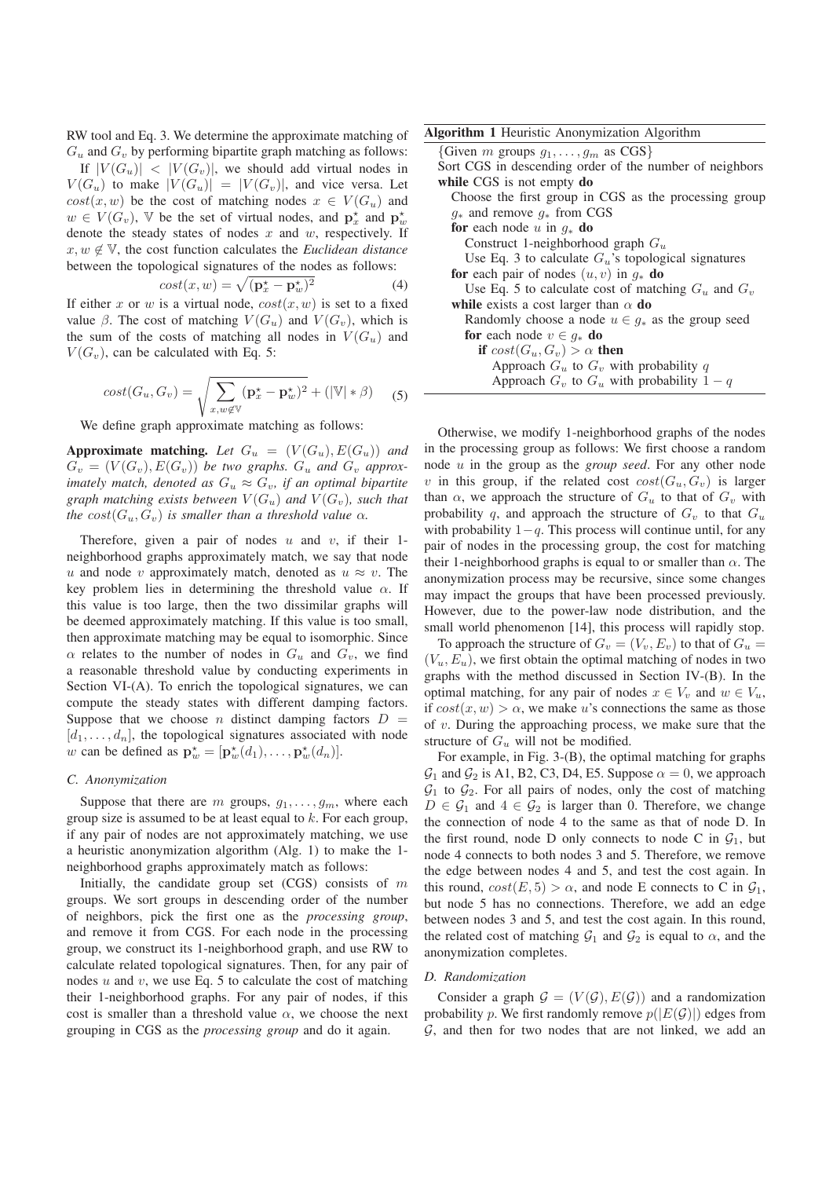RW tool and Eq. 3. We determine the approximate matching of  $G_u$  and  $G_v$  by performing bipartite graph matching as follows: If  $|V(G_u)| < |V(G_v)|$ , we should add virtual nodes in  $V(G_u)$  to make  $|V(G_u)| = |V(G_v)|$ , and vice versa. Let  $cost(x, w)$  be the cost of matching nodes  $x \in V(G_u)$  and  $w \in V(G_v)$ ,  $\mathbb{V}$  be the set of virtual nodes, and  $\mathbf{p}_x^*$  and  $\mathbf{p}_y^*$  and  $\mathbf{p}_y^*$  and  $\mathbf{p}_y^*$  and  $\mathbf{p}_y^*$  and  $\mathbf{p}_y^*$  and  $\mathbf{p}_y^*$  and  $\mathbf{p}_y^*$  and  $\mathbf{p}_y^*$  and  $\mathbf{p}_y^*$  and  $\mathbf{p}_y$ denote the steady states of nodes  $x$  and  $w$ , respectively. If  $x, w \notin V$ , the cost function calculates the *Euclidean distance* between the topological signatures of the nodes as follows:

$$
cost(x, w) = \sqrt{(\mathbf{p}_x^{\star} - \mathbf{p}_w^{\star})^2}
$$
 (4)  
If either x or w is a virtual node,  $cost(x, w)$  is set to a fixed

value  $\beta$ . The cost of matching  $V(G_u)$  and  $V(G_v)$ , which is the sum of the costs of matching all nodes in  $V(G_u)$  and  $V(G_v)$ , can be calculated with Eq. 5:

$$
cost(G_u, G_v) = \sqrt{\sum_{x, w \notin V} (\mathbf{p}_x^* - \mathbf{p}_w^*)^2} + (|\mathbb{V}| * \beta) \quad (5)
$$

We define graph approximate matching as follows:

**Approximate matching.** Let  $G_u = (V(G_u), E(G_u))$  and  $G_v = (V(G_v), E(G_v))$  be two graphs.  $G_u$  and  $G_v$  approx*imately match, denoted as*  $G_u \approx G_v$ *, if an optimal bipartite graph matching exists between*  $V(G_u)$  *and*  $V(G_v)$ *, such that the*  $cost(G_u, G_v)$  *is smaller than a threshold value*  $\alpha$ *.* 

Therefore, given a pair of nodes  $u$  and  $v$ , if their 1neighborhood graphs approximately match, we say that node u and node v approximately match, denoted as  $u \approx v$ . The key problem lies in determining the threshold value  $\alpha$ . If this value is too large, then the two dissimilar graphs will be deemed approximately matching. If this value is too small, then approximate matching may be equal to isomorphic. Since  $\alpha$  relates to the number of nodes in  $G_u$  and  $G_v$ , we find a reasonable threshold value by conducting experiments in Section  $VI-(A)$ . To enrich the topological signatures, we can compute the steady states with different damping factors. Suppose that we choose *n* distinct damping factors  $D =$  $[d_1, \ldots, d_n]$ , the topological signatures associated with node w can be defined as  $\mathbf{p}_w^* = [\mathbf{p}_w^*(d_1), \dots, \mathbf{p}_w^*(d_n)].$ 

## *C. Anonymization*

Suppose that there are m groups,  $g_1, \ldots, g_m$ , where each group size is assumed to be at least equal to k. For each group, if any pair of nodes are not approximately matching, we use a heuristic anonymization algorithm (Alg. 1) to make the 1 neighborhood graphs approximately match as follows:

Initially, the candidate group set  $(CGS)$  consists of m groups. We sort groups in descending order of the number of neighbors, pick the first one as the *processing group*, and remove it from CGS. For each node in the processing group, we construct its 1-neighborhood graph, and use RW to calculate related topological signatures. Then, for any pair of nodes  $u$  and  $v$ , we use Eq. 5 to calculate the cost of matching their 1-neighborhood graphs. For any pair of nodes, if this cost is smaller than a threshold value  $\alpha$ , we choose the next grouping in CGS as the *processing group* and do it again.

Given m groups  $g_1, \ldots, g_m$  as CGS} Sort CGS in descending order of the number of neighbors while CGS is not empty do Choose the first group in CGS as the processing group  $g_*$  and remove  $g_*$  from CGS for each node u in  $q_*$  do Construct 1-neighborhood graph  $G_u$ Use Eq. 3 to calculate  $G_u$ 's topological signatures for each pair of nodes  $(u, v)$  in  $g_*$  do Use Eq. 5 to calculate cost of matching  $G_u$  and  $G_v$ while exists a cost larger than  $\alpha$  do Randomly choose a node  $u \in g_*$  as the group seed for each node  $v \in q_*$  do if  $cost(G_u, G_v) > \alpha$  then Approach  $G_u$  to  $G_v$  with probability q Approach  $G_v$  to  $G_u$  with probability  $1 - q$ 

Otherwise, we modify 1-neighborhood graphs of the nodes in the processing group as follows: We first choose a random node u in the group as the *group seed*. For any other node v in this group, if the related cost  $cost(G_u, G_v)$  is larger than  $\alpha$ , we approach the structure of  $G_u$  to that of  $G_v$  with probability q, and approach the structure of  $G_v$  to that  $G_u$ with probability  $1-\alpha$ . This process will continue until, for any pair of nodes in the processing group, the cost for matching their 1-neighborhood graphs is equal to or smaller than  $\alpha$ . The anonymization process may be recursive, since some changes may impact the groups that have been processed previously. However, due to the power-law node distribution, and the small world phenomenon [14], this process will rapidly stop.

To approach the structure of  $G_v = (V_v, E_v)$  to that of  $G_u$  =  $(V_u, E_u)$ , we first obtain the optimal matching of nodes in two graphs with the method discussed in Section IV-(B). In the optimal matching, for any pair of nodes  $x \in V_v$  and  $w \in V_u$ , if  $cost(x, w) > \alpha$ , we make u's connections the same as those of v. During the approaching process, we make sure that the structure of  $G_u$  will not be modified.

For example, in Fig. 3-(B), the optimal matching for graphs  $\mathcal{G}_1$  and  $\mathcal{G}_2$  is A1, B2, C3, D4, E5. Suppose  $\alpha = 0$ , we approach  $G_1$  to  $G_2$ . For all pairs of nodes, only the cost of matching  $D \in \mathcal{G}_1$  and  $4 \in \mathcal{G}_2$  is larger than 0. Therefore, we change the connection of node 4 to the same as that of node D. In the first round, node D only connects to node C in  $G_1$ , but node 4 connects to both nodes 3 and 5. Therefore, we remove the edge between nodes 4 and 5, and test the cost again. In this round,  $cost(E, 5) > \alpha$ , and node E connects to C in  $\mathcal{G}_1$ , but node 5 has no connections. Therefore, we add an edge between nodes 3 and 5, and test the cost again. In this round, the related cost of matching  $\mathcal{G}_1$  and  $\mathcal{G}_2$  is equal to  $\alpha$ , and the anonymization completes.

#### *D. Randomization*

Consider a graph  $G = (V(G), E(G))$  and a randomization probability p. We first randomly remove  $p(|E(\mathcal{G})|)$  edges from  $G$ , and then for two nodes that are not linked, we add an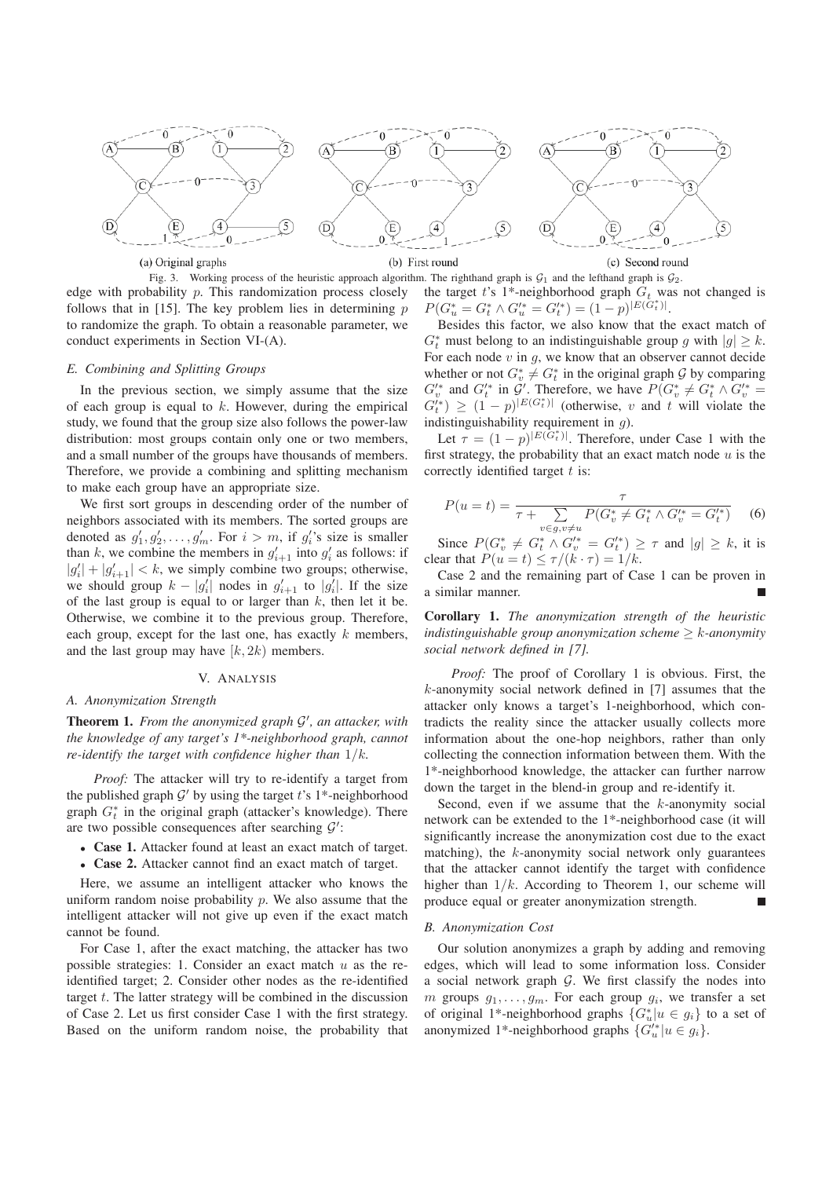

Fig. 3. Working process of the heuristic approach algorithm. The righthand graph is  $G_1$  and the lefthand graph is  $G_2$ . edge with probability p. This randomization process closely follows that in [15]. The key problem lies in determining  $p$ to randomize the graph. To obtain a reasonable parameter, we conduct experiments in Section VI-(A).

# *E. Combining and Splitting Groups*

In the previous section, we simply assume that the size of each group is equal to  $k$ . However, during the empirical study, we found that the group size also follows the power-law distribution: most groups contain only one or two members, and a small number of the groups have thousands of members. Therefore, we provide a combining and splitting mechanism to make each group have an appropriate size.

We first sort groups in descending order of the number of neighbors associated with its members. The sorted groups are denoted as  $g'_1, g'_2, \ldots, g'_m$ . For  $i > m$ , if  $g'_i$ 's size is smaller<br>than k we combine the members in  $g'_i$  into  $g'_i$  as follows: than k, we combine the members in  $g'_{i+1}$  into  $g'_{i}$  as follows: if  $|g'_{i+1}| \leq k$  we simply combine two groups; otherwise  $|g'_i| + |g'_{i+1}| < k$ , we simply combine two groups; otherwise,<br>we should group  $k = |g'|$  nodes in  $g' =$  to  $|g'|$ . If the size we should group  $k - |g'_i|$  nodes in  $g'_{i+1}$  to  $|g'_i|$ . If the size<br>of the last group is equal to or larger than k then let it be of the last group is equal to or larger than  $k$ , then let it be. Otherwise, we combine it to the previous group. Therefore, each group, except for the last one, has exactly  $k$  members, and the last group may have  $[k, 2k)$  members.

## V. ANALYSIS

## *A. Anonymization Strength*

Theorem 1. *From the anonymized graph* G *, an attacker, with the knowledge of any target's 1\*-neighborhood graph, cannot re-identify the target with confidence higher than* 1/k*.*

*Proof:* The attacker will try to re-identify a target from the published graph  $\mathcal{G}'$  by using the target t's 1\*-neighborhood graph  $G_t^*$  in the original graph (attacker's knowledge). There are two possible consequences after searching  $\mathcal{G}'$ :

- Case 1. Attacker found at least an exact match of target.
- Case 2. Attacker cannot find an exact match of target.

Here, we assume an intelligent attacker who knows the uniform random noise probability  $p$ . We also assume that the intelligent attacker will not give up even if the exact match cannot be found.

For Case 1, after the exact matching, the attacker has two possible strategies: 1. Consider an exact match  $u$  as the reidentified target; 2. Consider other nodes as the re-identified target  $t$ . The latter strategy will be combined in the discussion of Case 2. Let us first consider Case 1 with the first strategy. Based on the uniform random noise, the probability that

the target t's 1\*-neighborhood graph  $G_t$  was not changed is  $P(G_u^* = G_t^* \wedge G_u'^* = G_t'^*) = (1-p)^{|E(G_t^*)|}$ .<br>Bosides this factor we also know that the

Besides this factor, we also know that the exact match of  $G_t^*$  must belong to an indistinguishable group g with  $|g| \geq k$ .<br>For each node v in g, we know that an observer cannot decide For each node  $v$  in  $g$ , we know that an observer cannot decide whether or not  $G_v^* \neq G_t^*$  in the original graph G by comparing  $G_v'^*$  and  $G_t'^*$  in  $G'$ . Therefore, we have  $P(G_v^* \neq G_t^* \wedge G_v'^* = G_v'^*) \geq (1-n)|E(G_v^*)|$  (otherwise solution that will violate the  $G_t^{(*)} \ge (1-p)^{|E(G_t^*)|}$  (otherwise, v and t will violate the indictinguishability requirement in a) indistinguishability requirement in  $q$ ).

Let  $\tau = (1 - p)^{|E(G^*_t)|}$ . Therefore, under Case 1 with the first strategy, the probability that an exact match node  $u$  is the correctly identified target  $t$  is:

$$
P(u = t) = \frac{\tau}{\tau + \sum_{v \in g, v \neq u} P(G_v^* \neq G_t^* \land G_v'^* = G_t'^*)}
$$
(6)

Since  $P(G_v^* \neq G_t^* \wedge G_v'^* = G_t'^*) \geq \tau$  and  $|g| \geq k$ , it is<br>sex that  $P(u - t) \leq \tau/(k \cdot \tau) = 1/k$ clear that  $P(u = t) \le \tau/(k \cdot \tau) = 1/k$ .

Case 2 and the remaining part of Case 1 can be proven in a similar manner.

Corollary 1. *The anonymization strength of the heuristic indistinguishable group anonymization scheme* ≥ k*-anonymity social network defined in [7].*

*Proof:* The proof of Corollary 1 is obvious. First, the k-anonymity social network defined in [7] assumes that the attacker only knows a target's 1-neighborhood, which contradicts the reality since the attacker usually collects more information about the one-hop neighbors, rather than only collecting the connection information between them. With the 1\*-neighborhood knowledge, the attacker can further narrow down the target in the blend-in group and re-identify it.

Second, even if we assume that the  $k$ -anonymity social network can be extended to the 1\*-neighborhood case (it will significantly increase the anonymization cost due to the exact matching), the  $k$ -anonymity social network only guarantees that the attacker cannot identify the target with confidence higher than  $1/k$ . According to Theorem 1, our scheme will produce equal or greater anonymization strength.

## *B. Anonymization Cost*

Our solution anonymizes a graph by adding and removing edges, which will lead to some information loss. Consider a social network graph  $G$ . We first classify the nodes into m groups  $g_1, \ldots, g_m$ . For each group  $g_i$ , we transfer a set of original 1<sup>\*</sup>-neighborhood graphs  $\{G_u^*[u \in g_i]\}$  to a set of<br>approximately interpreted graphs  $\{G_i^*|u \in g_i\}$ anonymized 1<sup>\*</sup>-neighborhood graphs  $\{G'_u \mid u \in g_i\}$ .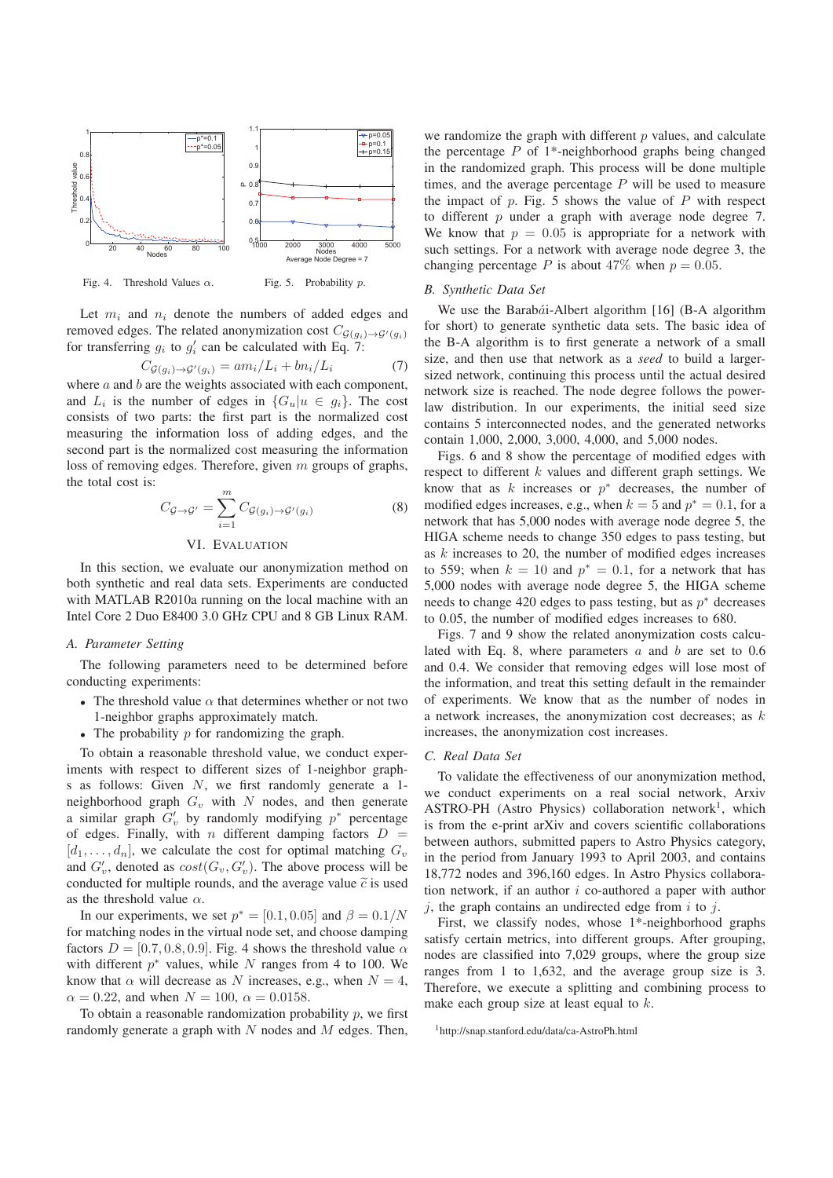



Let  $m_i$  and  $n_i$  denote the numbers of added edges and removed edges. The related anonymization cost  $C_{\mathcal{G}(g_i)\rightarrow\mathcal{G}'(g_i)}$ for transferring  $g_i$  to  $g'_i$  can be calculated with Eq. 7:

$$
C_{\mathcal{G}(g_i)\to\mathcal{G}'(g_i)} = am_i/L_i + bn_i/L_i \tag{7}
$$

 $C_{\mathcal{G}(g_i) \to \mathcal{G}'(g_i)} = am_i/L_i + bn_i/L_i$  (7)<br>where a and b are the weights associated with each component, and  $L_i$  is the number of edges in  $\{G_u | u \in g_i\}$ . The cost consists of two parts: the first part is the normalized cost measuring the information loss of adding edges, and the second part is the normalized cost measuring the information loss of removing edges. Therefore, given m groups of graphs, the total cost is:

$$
C_{\mathcal{G}\to\mathcal{G}'} = \sum_{i=1}^{m} C_{\mathcal{G}(g_i)\to\mathcal{G}'(g_i)}
$$
 (8)

## VI. EVALUATION

In this section, we evaluate our anonymization method on both synthetic and real data sets. Experiments are conducted with MATLAB R2010a running on the local machine with an Intel Core 2 Duo E8400 3.0 GHz CPU and 8 GB Linux RAM.

## *A. Parameter Setting*

The following parameters need to be determined before conducting experiments:

- The threshold value  $\alpha$  that determines whether or not two 1-neighbor graphs approximately match.
- The probability  $p$  for randomizing the graph.

To obtain a reasonable threshold value, we conduct experiments with respect to different sizes of 1-neighbor graphs as follows: Given N, we first randomly generate a 1 neighborhood graph  $G_v$  with N nodes, and then generate a similar graph  $G'_v$  by randomly modifying  $p^*$  percentage<br>of edges. Finally, with a different damping factors  $D =$ of edges. Finally, with n different damping factors  $D =$  $[d_1,\ldots,d_n]$ , we calculate the cost for optimal matching  $G_v$ and  $G'_v$ , denoted as  $cost(G_v, G'_v)$ . The above process will be conducted for multiple rounds and the average value  $\tilde{\alpha}$  is used conducted for multiple rounds, and the average value  $\tilde{c}$  is used as the threshold value  $\alpha$ .

In our experiments, we set  $p^* = [0.1, 0.05]$  and  $\beta = 0.1/N$ for matching nodes in the virtual node set, and choose damping factors  $D = [0.7, 0.8, 0.9]$ . Fig. 4 shows the threshold value  $\alpha$ with different  $p^*$  values, while N ranges from 4 to 100. We know that  $\alpha$  will decrease as N increases, e.g., when  $N = 4$ ,  $\alpha = 0.22$ , and when  $N = 100$ ,  $\alpha = 0.0158$ .

To obtain a reasonable randomization probability  $p$ , we first randomly generate a graph with  $N$  nodes and  $M$  edges. Then,

we randomize the graph with different  $p$  values, and calculate the percentage  $P$  of 1<sup>\*</sup>-neighborhood graphs being changed in the randomized graph. This process will be done multiple times, and the average percentage  $P$  will be used to measure the impact of  $p$ . Fig. 5 shows the value of  $P$  with respect to different  $p$  under a graph with average node degree 7. We know that  $p = 0.05$  is appropriate for a network with such settings. For a network with average node degree 3, the changing percentage P is about 47% when  $p = 0.05$ .

#### *B. Synthetic Data Set*

We use the Barabái-Albert algorithm  $[16]$  (B-A algorithm for short) to generate synthetic data sets. The basic idea of the B-A algorithm is to first generate a network of a small size, and then use that network as a *seed* to build a largersized network, continuing this process until the actual desired network size is reached. The node degree follows the powerlaw distribution. In our experiments, the initial seed size contains 5 interconnected nodes, and the generated networks contain 1,000, 2,000, 3,000, 4,000, and 5,000 nodes.

Figs. 6 and 8 show the percentage of modified edges with respect to different  $k$  values and different graph settings. We know that as  $k$  increases or  $p^*$  decreases, the number of modified edges increases, e.g., when  $k = 5$  and  $p^* = 0.1$ , for a network that has 5,000 nodes with average node degree 5, the HIGA scheme needs to change 350 edges to pass testing, but as k increases to 20, the number of modified edges increases to 559; when  $k = 10$  and  $p^* = 0.1$ , for a network that has 5,000 nodes with average node degree 5, the HIGA scheme needs to change 420 edges to pass testing, but as  $p^*$  decreases to 0.05, the number of modified edges increases to 680.

Figs. 7 and 9 show the related anonymization costs calculated with Eq. 8, where parameters  $a$  and  $b$  are set to 0.6 and 0.4. We consider that removing edges will lose most of the information, and treat this setting default in the remainder of experiments. We know that as the number of nodes in a network increases, the anonymization cost decreases; as k increases, the anonymization cost increases.

# *C. Real Data Set*

To validate the effectiveness of our anonymization method, we conduct experiments on a real social network, Arxiv ASTRO-PH (Astro Physics) collaboration network<sup>1</sup>, which is from the e-print arXiv and covers scientific collaborations between authors, submitted papers to Astro Physics category, in the period from January 1993 to April 2003, and contains 18,772 nodes and 396,160 edges. In Astro Physics collaboration network, if an author i co-authored a paper with author  $j$ , the graph contains an undirected edge from  $i$  to  $j$ .

First, we classify nodes, whose 1\*-neighborhood graphs satisfy certain metrics, into different groups. After grouping, nodes are classified into 7,029 groups, where the group size ranges from 1 to 1,632, and the average group size is 3. Therefore, we execute a splitting and combining process to make each group size at least equal to  $k$ .

```
1http://snap.stanford.edu/data/ca-AstroPh.html
```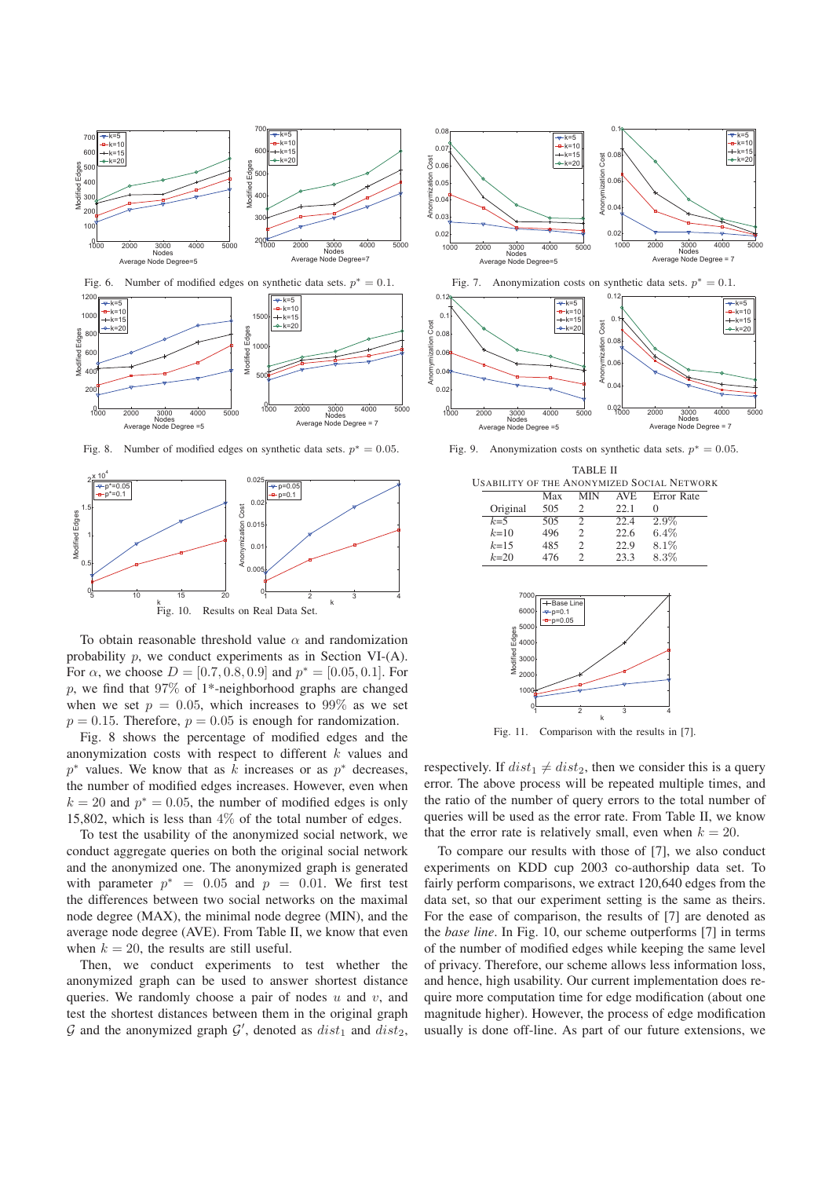



Fig. 8. Number of modified edges on synthetic data sets.  $p^* = 0.05$ .



To obtain reasonable threshold value  $\alpha$  and randomization probability p, we conduct experiments as in Section VI-(A). For  $\alpha$ , we choose  $D = [0.7, 0.8, 0.9]$  and  $p^* = [0.05, 0.1]$ . For  $p$ , we find that 97% of 1<sup>\*</sup>-neighborhood graphs are changed when we set  $p = 0.05$ , which increases to 99% as we set  $p = 0.15$ . Therefore,  $p = 0.05$  is enough for randomization.

Fig. 8 shows the percentage of modified edges and the anonymization costs with respect to different k values and  $p^*$  values. We know that as k increases or as  $p^*$  decreases, the number of modified edges increases. However, even when  $k = 20$  and  $p^* = 0.05$ , the number of modified edges is only 15,802, which is less than 4% of the total number of edges.

To test the usability of the anonymized social network, we conduct aggregate queries on both the original social network and the anonymized one. The anonymized graph is generated with parameter  $p^* = 0.05$  and  $p = 0.01$ . We first test the differences between two social networks on the maximal node degree (MAX), the minimal node degree (MIN), and the average node degree (AVE). From Table II, we know that even when  $k = 20$ , the results are still useful.

Then, we conduct experiments to test whether the anonymized graph can be used to answer shortest distance queries. We randomly choose a pair of nodes  $u$  and  $v$ , and test the shortest distances between them in the original graph G and the anonymized graph  $G'$ , denoted as  $dist_1$  and  $dist_2$ ,





zatio

Fig. 9. Anonymization costs on synthetic data sets.  $p^* = 0.05$ .

|           | Max | MIN            | <b>AVE</b> | Error Rate |
|-----------|-----|----------------|------------|------------|
| Original  | 505 | 2              | 22.1       |            |
| $k=5$     | 505 | $\mathfrak{D}$ | 22.4       | 2.9%       |
| $k=10$    | 496 | $\mathcal{L}$  | 22.6       | $6.4\%$    |
| $k = 1.5$ | 485 | $\mathcal{L}$  | 22.9       | 8.1%       |
| $k = 20$  | 476 | 2              | 23.3       | 8.3%       |



Fig. 11. Comparison with the results in [7].

respectively. If  $dist_1 \neq dist_2$ , then we consider this is a query error. The above process will be repeated multiple times, and the ratio of the number of query errors to the total number of queries will be used as the error rate. From Table II, we know that the error rate is relatively small, even when  $k = 20$ .

To compare our results with those of [7], we also conduct experiments on KDD cup 2003 co-authorship data set. To fairly perform comparisons, we extract 120,640 edges from the data set, so that our experiment setting is the same as theirs. For the ease of comparison, the results of [7] are denoted as the *base line*. In Fig. 10, our scheme outperforms [7] in terms of the number of modified edges while keeping the same level of privacy. Therefore, our scheme allows less information loss, and hence, high usability. Our current implementation does require more computation time for edge modification (about one magnitude higher). However, the process of edge modification usually is done off-line. As part of our future extensions, we